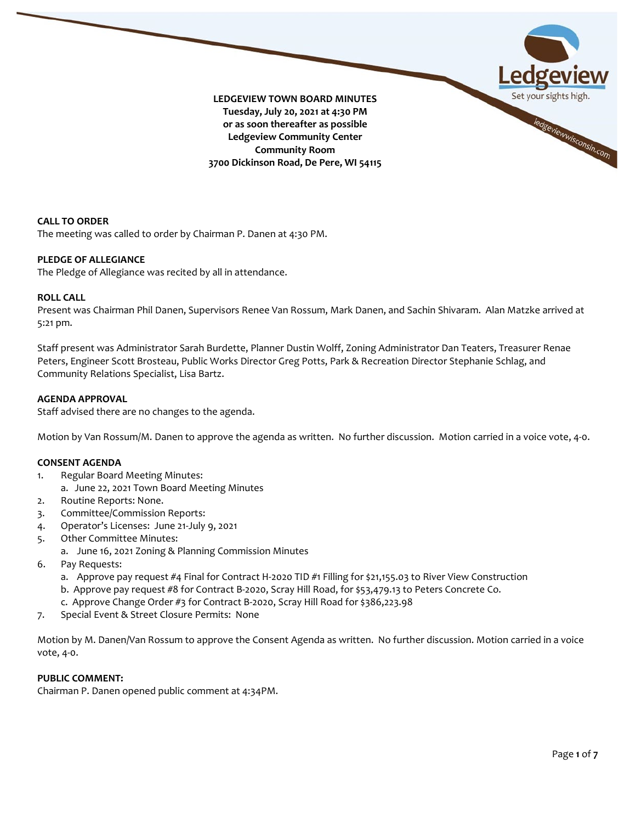

**CALL TO ORDER** The meeting was called to order by Chairman P. Danen at 4:30 PM.

# **PLEDGE OF ALLEGIANCE**

The Pledge of Allegiance was recited by all in attendance.

## **ROLL CALL**

Present was Chairman Phil Danen, Supervisors Renee Van Rossum, Mark Danen, and Sachin Shivaram. Alan Matzke arrived at 5:21 pm.

Staff present was Administrator Sarah Burdette, Planner Dustin Wolff, Zoning Administrator Dan Teaters, Treasurer Renae Peters, Engineer Scott Brosteau, Public Works Director Greg Potts, Park & Recreation Director Stephanie Schlag, and Community Relations Specialist, Lisa Bartz.

## **AGENDA APPROVAL**

Staff advised there are no changes to the agenda.

Motion by Van Rossum/M. Danen to approve the agenda as written. No further discussion. Motion carried in a voice vote, 4-0.

#### **CONSENT AGENDA**

- 1. Regular Board Meeting Minutes:
	- a. June 22, 2021 Town Board Meeting Minutes
- 2. Routine Reports: None.
- 3. Committee/Commission Reports:
- 4. Operator's Licenses: June 21-July 9, 2021
- 5. Other Committee Minutes:
	- a. June 16, 2021 Zoning & Planning Commission Minutes
- 6. Pay Requests:
	- a. Approve pay request #4 Final for Contract H-2020 TID #1 Filling for \$21,155.03 to River View Construction
	- b. Approve pay request #8 for Contract B-2020, Scray Hill Road, for \$53,479.13 to Peters Concrete Co.
	- c. Approve Change Order #3 for Contract B-2020, Scray Hill Road for \$386,223.98
- 7. Special Event & Street Closure Permits: None

Motion by M. Danen/Van Rossum to approve the Consent Agenda as written. No further discussion. Motion carried in a voice vote, 4-0.

#### **PUBLIC COMMENT:**

Chairman P. Danen opened public comment at 4:34PM.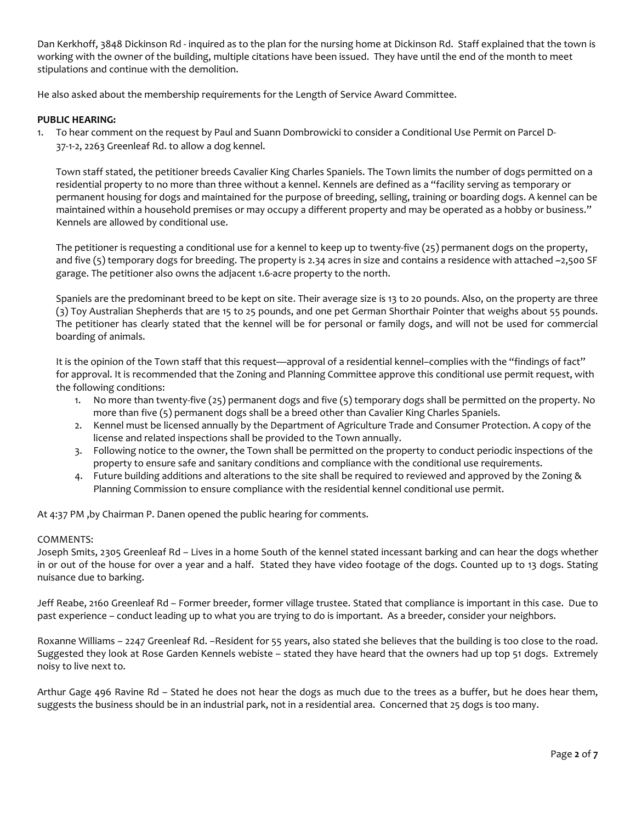Dan Kerkhoff, 3848 Dickinson Rd - inquired as to the plan for the nursing home at Dickinson Rd. Staff explained that the town is working with the owner of the building, multiple citations have been issued. They have until the end of the month to meet stipulations and continue with the demolition.

He also asked about the membership requirements for the Length of Service Award Committee.

## **PUBLIC HEARING:**

1. To hear comment on the request by Paul and Suann Dombrowicki to consider a Conditional Use Permit on Parcel D-37-1-2, 2263 Greenleaf Rd. to allow a dog kennel.

Town staff stated, the petitioner breeds Cavalier King Charles Spaniels. The Town limits the number of dogs permitted on a residential property to no more than three without a kennel. Kennels are defined as a "facility serving as temporary or permanent housing for dogs and maintained for the purpose of breeding, selling, training or boarding dogs. A kennel can be maintained within a household premises or may occupy a different property and may be operated as a hobby or business." Kennels are allowed by conditional use.

The petitioner is requesting a conditional use for a kennel to keep up to twenty-five (25) permanent dogs on the property, and five (5) temporary dogs for breeding. The property is 2.34 acres in size and contains a residence with attached ~2,500 SF garage. The petitioner also owns the adjacent 1.6-acre property to the north.

Spaniels are the predominant breed to be kept on site. Their average size is 13 to 20 pounds. Also, on the property are three (3) Toy Australian Shepherds that are 15 to 25 pounds, and one pet German Shorthair Pointer that weighs about 55 pounds. The petitioner has clearly stated that the kennel will be for personal or family dogs, and will not be used for commercial boarding of animals.

It is the opinion of the Town staff that this request—approval of a residential kennel–complies with the "findings of fact" for approval. It is recommended that the Zoning and Planning Committee approve this conditional use permit request, with the following conditions:

- 1. No more than twenty-five (25) permanent dogs and five (5) temporary dogs shall be permitted on the property. No more than five (5) permanent dogs shall be a breed other than Cavalier King Charles Spaniels.
- 2. Kennel must be licensed annually by the Department of Agriculture Trade and Consumer Protection. A copy of the license and related inspections shall be provided to the Town annually.
- 3. Following notice to the owner, the Town shall be permitted on the property to conduct periodic inspections of the property to ensure safe and sanitary conditions and compliance with the conditional use requirements.
- 4. Future building additions and alterations to the site shall be required to reviewed and approved by the Zoning & Planning Commission to ensure compliance with the residential kennel conditional use permit.

At 4:37 PM ,by Chairman P. Danen opened the public hearing for comments.

## COMMENTS:

Joseph Smits, 2305 Greenleaf Rd – Lives in a home South of the kennel stated incessant barking and can hear the dogs whether in or out of the house for over a year and a half. Stated they have video footage of the dogs. Counted up to 13 dogs. Stating nuisance due to barking.

Jeff Reabe, 2160 Greenleaf Rd – Former breeder, former village trustee. Stated that compliance is important in this case. Due to past experience – conduct leading up to what you are trying to do is important. As a breeder, consider your neighbors.

Roxanne Williams – 2247 Greenleaf Rd. –Resident for 55 years, also stated she believes that the building is too close to the road. Suggested they look at Rose Garden Kennels webiste – stated they have heard that the owners had up top 51 dogs. Extremely noisy to live next to.

Arthur Gage 496 Ravine Rd – Stated he does not hear the dogs as much due to the trees as a buffer, but he does hear them, suggests the business should be in an industrial park, not in a residential area. Concerned that 25 dogs is too many.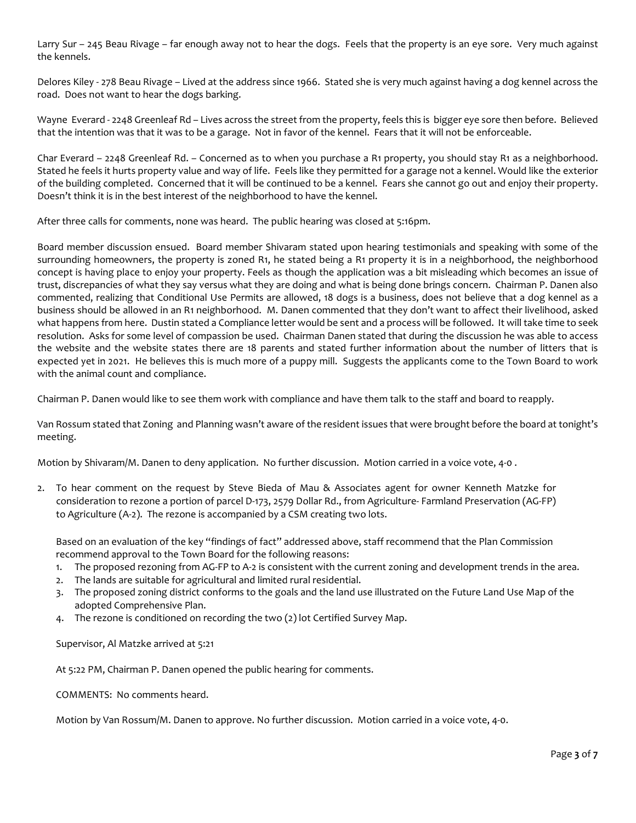Larry Sur – 245 Beau Rivage – far enough away not to hear the dogs. Feels that the property is an eye sore. Very much against the kennels.

Delores Kiley - 278 Beau Rivage – Lived at the address since 1966. Stated she is very much against having a dog kennel across the road. Does not want to hear the dogs barking.

Wayne Everard - 2248 Greenleaf Rd – Lives across the street from the property, feels this is bigger eye sore then before. Believed that the intention was that it was to be a garage. Not in favor of the kennel. Fears that it will not be enforceable.

Char Everard – 2248 Greenleaf Rd. – Concerned as to when you purchase a R1 property, you should stay R1 as a neighborhood. Stated he feels it hurts property value and way of life. Feels like they permitted for a garage not a kennel. Would like the exterior of the building completed. Concerned that it will be continued to be a kennel. Fears she cannot go out and enjoy their property. Doesn't think it is in the best interest of the neighborhood to have the kennel.

After three calls for comments, none was heard. The public hearing was closed at 5:16pm.

Board member discussion ensued. Board member Shivaram stated upon hearing testimonials and speaking with some of the surrounding homeowners, the property is zoned R1, he stated being a R1 property it is in a neighborhood, the neighborhood concept is having place to enjoy your property. Feels as though the application was a bit misleading which becomes an issue of trust, discrepancies of what they say versus what they are doing and what is being done brings concern. Chairman P. Danen also commented, realizing that Conditional Use Permits are allowed, 18 dogs is a business, does not believe that a dog kennel as a business should be allowed in an R1 neighborhood. M. Danen commented that they don't want to affect their livelihood, asked what happens from here. Dustin stated a Compliance letter would be sent and a process will be followed. It will take time to seek resolution. Asks for some level of compassion be used. Chairman Danen stated that during the discussion he was able to access the website and the website states there are 18 parents and stated further information about the number of litters that is expected yet in 2021. He believes this is much more of a puppy mill. Suggests the applicants come to the Town Board to work with the animal count and compliance.

Chairman P. Danen would like to see them work with compliance and have them talk to the staff and board to reapply.

Van Rossum stated that Zoning and Planning wasn't aware of the resident issues that were brought before the board at tonight's meeting.

Motion by Shivaram/M. Danen to deny application. No further discussion. Motion carried in a voice vote, 4-0 .

2. To hear comment on the request by Steve Bieda of Mau & Associates agent for owner Kenneth Matzke for consideration to rezone a portion of parcel D-173, 2579 Dollar Rd., from Agriculture- Farmland Preservation (AG-FP) to Agriculture (A-2). The rezone is accompanied by a CSM creating two lots.

Based on an evaluation of the key "findings of fact" addressed above, staff recommend that the Plan Commission recommend approval to the Town Board for the following reasons:

- 1. The proposed rezoning from AG-FP to A-2 is consistent with the current zoning and development trends in the area.
- 2. The lands are suitable for agricultural and limited rural residential.
- 3. The proposed zoning district conforms to the goals and the land use illustrated on the Future Land Use Map of the adopted Comprehensive Plan.
- 4. The rezone is conditioned on recording the two (2) lot Certified Survey Map.

Supervisor, Al Matzke arrived at 5:21

At 5:22 PM, Chairman P. Danen opened the public hearing for comments.

COMMENTS: No comments heard.

Motion by Van Rossum/M. Danen to approve. No further discussion. Motion carried in a voice vote, 4-0.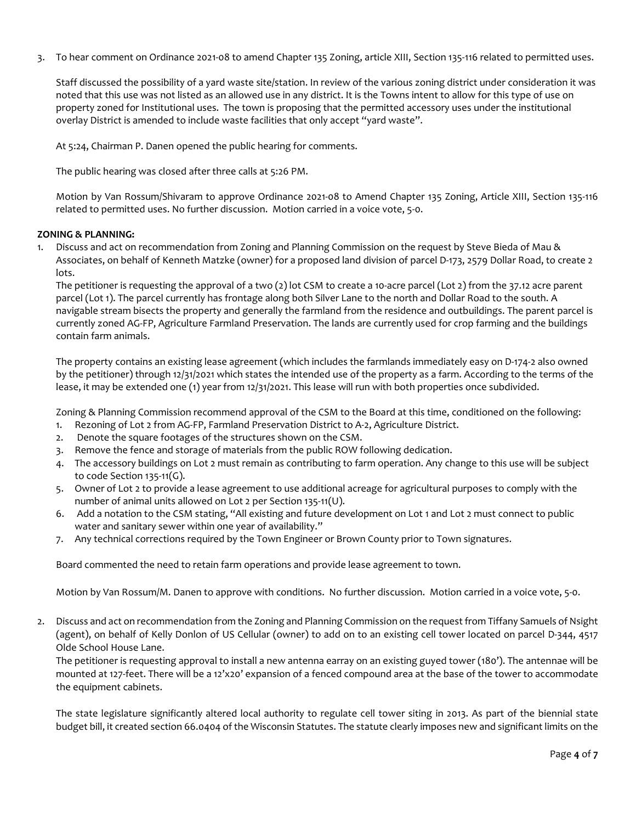3. To hear comment on Ordinance 2021-08 to amend Chapter 135 Zoning, article XIII, Section 135-116 related to permitted uses.

Staff discussed the possibility of a yard waste site/station. In review of the various zoning district under consideration it was noted that this use was not listed as an allowed use in any district. It is the Towns intent to allow for this type of use on property zoned for Institutional uses. The town is proposing that the permitted accessory uses under the institutional overlay District is amended to include waste facilities that only accept "yard waste".

At 5:24, Chairman P. Danen opened the public hearing for comments.

The public hearing was closed after three calls at 5:26 PM.

Motion by Van Rossum/Shivaram to approve Ordinance 2021-08 to Amend Chapter 135 Zoning, Article XIII, Section 135-116 related to permitted uses. No further discussion. Motion carried in a voice vote, 5-0.

## **ZONING & PLANNING:**

1. Discuss and act on recommendation from Zoning and Planning Commission on the request by Steve Bieda of Mau & Associates, on behalf of Kenneth Matzke (owner) for a proposed land division of parcel D-173, 2579 Dollar Road, to create 2 lots.

The petitioner is requesting the approval of a two (2) lot CSM to create a 10-acre parcel (Lot 2) from the 37.12 acre parent parcel (Lot 1). The parcel currently has frontage along both Silver Lane to the north and Dollar Road to the south. A navigable stream bisects the property and generally the farmland from the residence and outbuildings. The parent parcel is currently zoned AG-FP, Agriculture Farmland Preservation. The lands are currently used for crop farming and the buildings contain farm animals.

The property contains an existing lease agreement (which includes the farmlands immediately easy on D-174-2 also owned by the petitioner) through 12/31/2021 which states the intended use of the property as a farm. According to the terms of the lease, it may be extended one (1) year from 12/31/2021. This lease will run with both properties once subdivided.

Zoning & Planning Commission recommend approval of the CSM to the Board at this time, conditioned on the following:

- 1. Rezoning of Lot 2 from AG-FP, Farmland Preservation District to A-2, Agriculture District.
- 2. Denote the square footages of the structures shown on the CSM.
- 3. Remove the fence and storage of materials from the public ROW following dedication.
- 4. The accessory buildings on Lot 2 must remain as contributing to farm operation. Any change to this use will be subject to code Section 135-11(G).
- 5. Owner of Lot 2 to provide a lease agreement to use additional acreage for agricultural purposes to comply with the number of animal units allowed on Lot 2 per Section 135-11(U).
- 6. Add a notation to the CSM stating, "All existing and future development on Lot 1 and Lot 2 must connect to public water and sanitary sewer within one year of availability."
- 7. Any technical corrections required by the Town Engineer or Brown County prior to Town signatures.

Board commented the need to retain farm operations and provide lease agreement to town.

Motion by Van Rossum/M. Danen to approve with conditions. No further discussion. Motion carried in a voice vote, 5-0.

2. Discuss and act on recommendation from the Zoning and Planning Commission on the request from Tiffany Samuels of Nsight (agent), on behalf of Kelly Donlon of US Cellular (owner) to add on to an existing cell tower located on parcel D-344, 4517 Olde School House Lane.

The petitioner is requesting approval to install a new antenna earray on an existing guyed tower (180'). The antennae will be mounted at 127-feet. There will be a 12'x20' expansion of a fenced compound area at the base of the tower to accommodate the equipment cabinets.

The state legislature significantly altered local authority to regulate cell tower siting in 2013. As part of the biennial state budget bill, it created section 66.0404 of the Wisconsin Statutes. The statute clearly imposes new and significant limits on the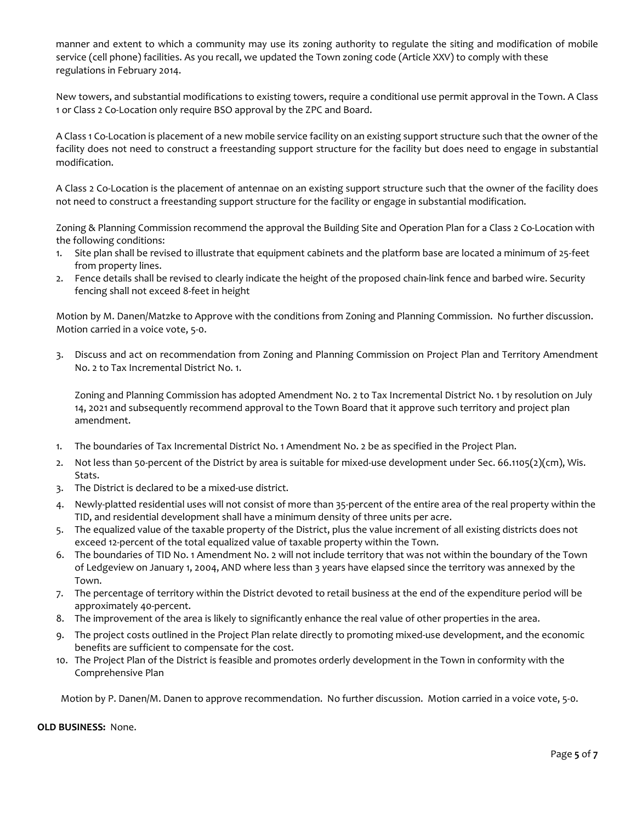manner and extent to which a community may use its zoning authority to regulate the siting and modification of mobile service (cell phone) facilities. As you recall, we updated the Town zoning code (Article XXV) to comply with these regulations in February 2014.

New towers, and substantial modifications to existing towers, require a conditional use permit approval in the Town. A Class 1 or Class 2 Co-Location only require BSO approval by the ZPC and Board.

A Class 1 Co-Location is placement of a new mobile service facility on an existing support structure such that the owner of the facility does not need to construct a freestanding support structure for the facility but does need to engage in substantial modification.

A Class 2 Co-Location is the placement of antennae on an existing support structure such that the owner of the facility does not need to construct a freestanding support structure for the facility or engage in substantial modification.

Zoning & Planning Commission recommend the approval the Building Site and Operation Plan for a Class 2 Co-Location with the following conditions:

- 1. Site plan shall be revised to illustrate that equipment cabinets and the platform base are located a minimum of 25-feet from property lines.
- 2. Fence details shall be revised to clearly indicate the height of the proposed chain-link fence and barbed wire. Security fencing shall not exceed 8-feet in height

Motion by M. Danen/Matzke to Approve with the conditions from Zoning and Planning Commission. No further discussion. Motion carried in a voice vote, 5-0.

3. Discuss and act on recommendation from Zoning and Planning Commission on Project Plan and Territory Amendment No. 2 to Tax Incremental District No. 1.

Zoning and Planning Commission has adopted Amendment No. 2 to Tax Incremental District No. 1 by resolution on July 14, 2021 and subsequently recommend approval to the Town Board that it approve such territory and project plan amendment.

- 1. The boundaries of Tax Incremental District No. 1 Amendment No. 2 be as specified in the Project Plan.
- 2. Not less than 50-percent of the District by area is suitable for mixed-use development under Sec. 66.1105(2)(cm), Wis. Stats.
- 3. The District is declared to be a mixed-use district.
- 4. Newly-platted residential uses will not consist of more than 35-percent of the entire area of the real property within the TID, and residential development shall have a minimum density of three units per acre.
- 5. The equalized value of the taxable property of the District, plus the value increment of all existing districts does not exceed 12-percent of the total equalized value of taxable property within the Town.
- 6. The boundaries of TID No. 1 Amendment No. 2 will not include territory that was not within the boundary of the Town of Ledgeview on January 1, 2004, AND where less than 3 years have elapsed since the territory was annexed by the Town.
- 7. The percentage of territory within the District devoted to retail business at the end of the expenditure period will be approximately 40-percent.
- 8. The improvement of the area is likely to significantly enhance the real value of other properties in the area.
- 9. The project costs outlined in the Project Plan relate directly to promoting mixed-use development, and the economic benefits are sufficient to compensate for the cost.
- 10. The Project Plan of the District is feasible and promotes orderly development in the Town in conformity with the Comprehensive Plan

Motion by P. Danen/M. Danen to approve recommendation. No further discussion. Motion carried in a voice vote, 5-0.

**OLD BUSINESS:** None.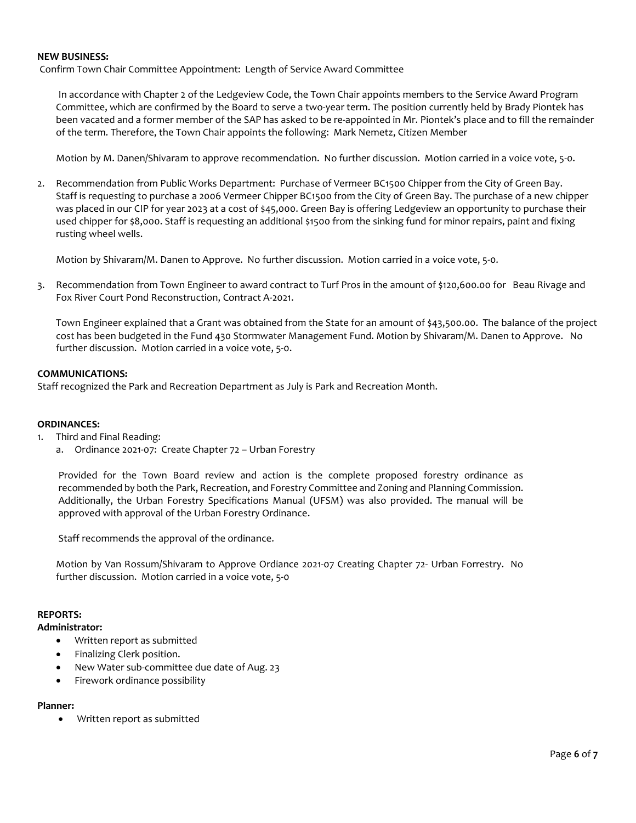## **NEW BUSINESS:**

Confirm Town Chair Committee Appointment: Length of Service Award Committee

In accordance with Chapter 2 of the Ledgeview Code, the Town Chair appoints members to the Service Award Program Committee, which are confirmed by the Board to serve a two-year term. The position currently held by Brady Piontek has been vacated and a former member of the SAP has asked to be re-appointed in Mr. Piontek's place and to fill the remainder of the term. Therefore, the Town Chair appoints the following: Mark Nemetz, Citizen Member

Motion by M. Danen/Shivaram to approve recommendation. No further discussion. Motion carried in a voice vote, 5-0.

2. Recommendation from Public Works Department: Purchase of Vermeer BC1500 Chipper from the City of Green Bay. Staff is requesting to purchase a 2006 Vermeer Chipper BC1500 from the City of Green Bay. The purchase of a new chipper was placed in our CIP for year 2023 at a cost of \$45,000. Green Bay is offering Ledgeview an opportunity to purchase their used chipper for \$8,000. Staff is requesting an additional \$1500 from the sinking fund for minor repairs, paint and fixing rusting wheel wells.

Motion by Shivaram/M. Danen to Approve. No further discussion. Motion carried in a voice vote, 5-0.

3. Recommendation from Town Engineer to award contract to Turf Pros in the amount of \$120,600.00 for Beau Rivage and Fox River Court Pond Reconstruction, Contract A-2021.

Town Engineer explained that a Grant was obtained from the State for an amount of \$43,500.00. The balance of the project cost has been budgeted in the Fund 430 Stormwater Management Fund. Motion by Shivaram/M. Danen to Approve. No further discussion. Motion carried in a voice vote, 5-0.

### **COMMUNICATIONS:**

Staff recognized the Park and Recreation Department as July is Park and Recreation Month.

#### **ORDINANCES:**

- 1. Third and Final Reading:
	- a. Ordinance 2021-07: Create Chapter 72 Urban Forestry

Provided for the Town Board review and action is the complete proposed forestry ordinance as recommended by both the Park, Recreation, and Forestry Committee and Zoning and Planning Commission. Additionally, the Urban Forestry Specifications Manual (UFSM) was also provided. The manual will be approved with approval of the Urban Forestry Ordinance.

Staff recommends the approval of the ordinance.

Motion by Van Rossum/Shivaram to Approve Ordiance 2021-07 Creating Chapter 72- Urban Forrestry. No further discussion. Motion carried in a voice vote, 5-0

#### **REPORTS:**

### **Administrator:**

- Written report as submitted
- Finalizing Clerk position.
- New Water sub-committee due date of Aug. 23
- Firework ordinance possibility

#### **Planner:**

• Written report as submitted